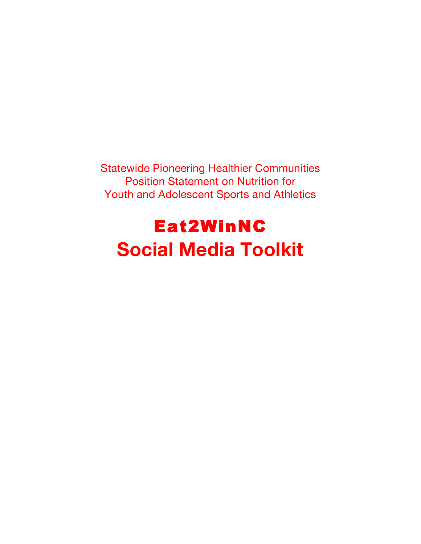Statewide Pioneering Healthier Communities Position Statement on Nutrition for Youth and Adolescent Sports and Athletics

# Eat2WinNC **Social Media Toolkit**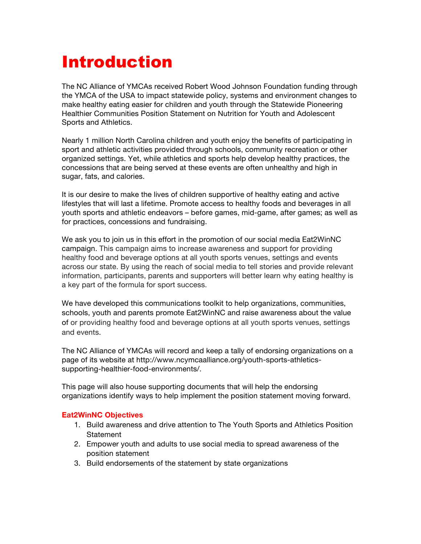## Introduction

The NC Alliance of YMCAs received Robert Wood Johnson Foundation funding through the YMCA of the USA to impact statewide policy, systems and environment changes to make healthy eating easier for children and youth through the Statewide Pioneering Healthier Communities Position Statement on Nutrition for Youth and Adolescent Sports and Athletics.

Nearly 1 million North Carolina children and youth enjoy the benefits of participating in sport and athletic activities provided through schools, community recreation or other organized settings. Yet, while athletics and sports help develop healthy practices, the concessions that are being served at these events are often unhealthy and high in sugar, fats, and calories.

It is our desire to make the lives of children supportive of healthy eating and active lifestyles that will last a lifetime. Promote access to healthy foods and beverages in all youth sports and athletic endeavors – before games, mid-game, after games; as well as for practices, concessions and fundraising.

We ask you to join us in this effort in the promotion of our social media Eat2WinNC campaign. This campaign aims to increase awareness and support for providing healthy food and beverage options at all youth sports venues, settings and events across our state. By using the reach of social media to tell stories and provide relevant information, participants, parents and supporters will better learn why eating healthy is a key part of the formula for sport success.

We have developed this communications toolkit to help organizations, communities, schools, youth and parents promote Eat2WinNC and raise awareness about the value of or providing healthy food and beverage options at all youth sports venues, settings and events.

The NC Alliance of YMCAs will record and keep a tally of endorsing organizations on a page of its website at http://www.ncymcaalliance.org/youth-sports-athleticssupporting-healthier-food-environments/.

This page will also house supporting documents that will help the endorsing organizations identify ways to help implement the position statement moving forward.

### **Eat2WinNC Objectives**

- 1. Build awareness and drive attention to The Youth Sports and Athletics Position **Statement**
- 2. Empower youth and adults to use social media to spread awareness of the position statement
- 3. Build endorsements of the statement by state organizations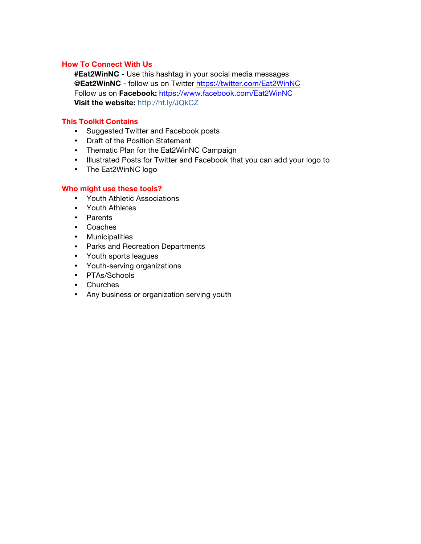### **How To Connect With Us**

**#Eat2WinNC -** Use this hashtag in your social media messages **@Eat2WinNC** - follow us on Twitter https://twitter.com/Eat2WinNC Follow us on **Facebook:** https://www.facebook.com/Eat2WinNC **Visit the website:** http://ht.ly/JQkCZ

### **This Toolkit Contains**

- Suggested Twitter and Facebook posts
- Draft of the Position Statement
- Thematic Plan for the Eat2WinNC Campaign
- Illustrated Posts for Twitter and Facebook that you can add your logo to
- The Eat2WinNC logo

### **Who might use these tools?**

- Youth Athletic Associations
- Youth Athletes
- Parents
- Coaches
- Municipalities
- Parks and Recreation Departments
- Youth sports leagues
- Youth-serving organizations
- PTAs/Schools
- Churches
- Any business or organization serving youth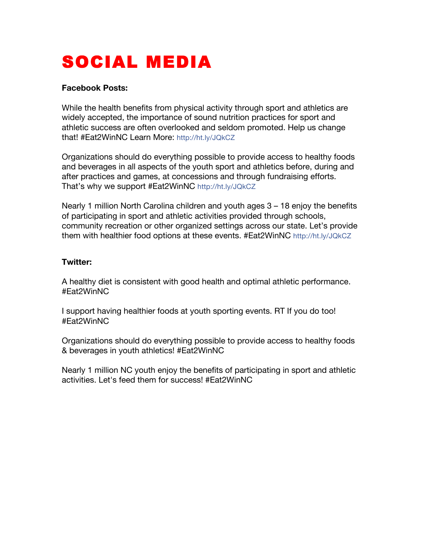## SOCIAL MEDIA

### **Facebook Posts:**

While the health benefits from physical activity through sport and athletics are widely accepted, the importance of sound nutrition practices for sport and athletic success are often overlooked and seldom promoted. Help us change that! #Eat2WinNC Learn More: http://ht.ly/JQkCZ

Organizations should do everything possible to provide access to healthy foods and beverages in all aspects of the youth sport and athletics before, during and after practices and games, at concessions and through fundraising efforts. That's why we support #Eat2WinNC http://ht.ly/JQkCZ

Nearly 1 million North Carolina children and youth ages 3 – 18 enjoy the benefits of participating in sport and athletic activities provided through schools, community recreation or other organized settings across our state. Let's provide them with healthier food options at these events. #Eat2WinNC http://ht.ly/JQkCZ

### **Twitter:**

A healthy diet is consistent with good health and optimal athletic performance. #Eat2WinNC

I support having healthier foods at youth sporting events. RT If you do too! #Eat2WinNC

Organizations should do everything possible to provide access to healthy foods & beverages in youth athletics! #Eat2WinNC

Nearly 1 million NC youth enjoy the benefits of participating in sport and athletic activities. Let's feed them for success! #Eat2WinNC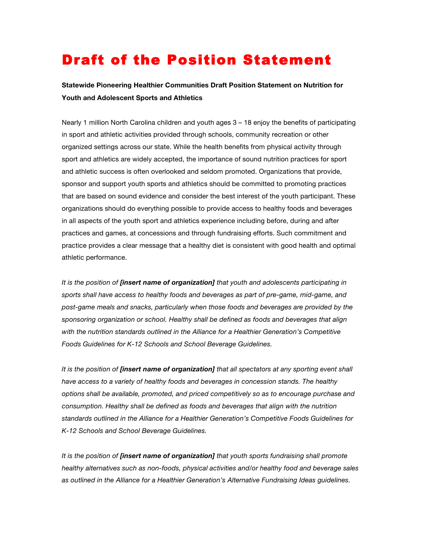### Draft of the Position Statement

**Statewide Pioneering Healthier Communities Draft Position Statement on Nutrition for Youth and Adolescent Sports and Athletics** 

Nearly 1 million North Carolina children and youth ages 3 – 18 enjoy the benefits of participating in sport and athletic activities provided through schools, community recreation or other organized settings across our state. While the health benefits from physical activity through sport and athletics are widely accepted, the importance of sound nutrition practices for sport and athletic success is often overlooked and seldom promoted. Organizations that provide, sponsor and support youth sports and athletics should be committed to promoting practices that are based on sound evidence and consider the best interest of the youth participant. These organizations should do everything possible to provide access to healthy foods and beverages in all aspects of the youth sport and athletics experience including before, during and after practices and games, at concessions and through fundraising efforts. Such commitment and practice provides a clear message that a healthy diet is consistent with good health and optimal athletic performance.

*It is the position of [insert name of organization] that youth and adolescents participating in sports shall have access to healthy foods and beverages as part of pre-game, mid-game, and post-game meals and snacks, particularly when those foods and beverages are provided by the sponsoring organization or school. Healthy shall be defined as foods and beverages that align*  with the nutrition standards outlined in the Alliance for a Healthier Generation's Competitive *Foods Guidelines for K-12 Schools and School Beverage Guidelines.* 

*It is the position of [insert name of organization] that all spectators at any sporting event shall have access to a variety of healthy foods and beverages in concession stands. The healthy options shall be available, promoted, and priced competitively so as to encourage purchase and consumption. Healthy shall be defined as foods and beverages that align with the nutrition standards outlined in the Alliance for a Healthier Generation's Competitive Foods Guidelines for K-12 Schools and School Beverage Guidelines.* 

*It is the position of [insert name of organization] that youth sports fundraising shall promote healthy alternatives such as non-foods, physical activities and/or healthy food and beverage sales as outlined in the Alliance for a Healthier Generation's Alternative Fundraising Ideas guidelines.*